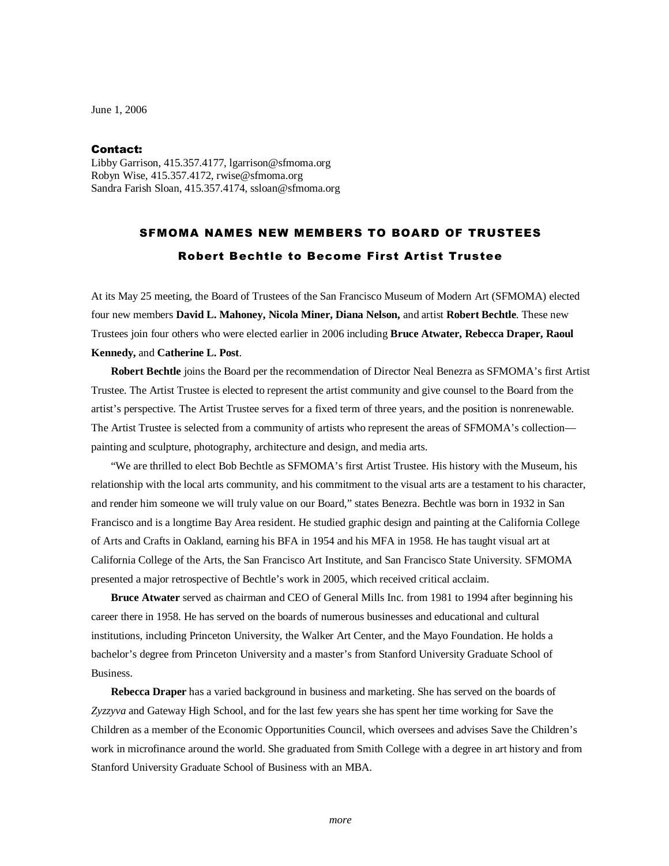June 1, 2006

## Contact:

Libby Garrison, 415.357.4177, lgarrison@sfmoma.org Robyn Wise, 415.357.4172, rwise@sfmoma.org Sandra Farish Sloan, 415.357.4174, ssloan@sfmoma.org

## SFMOMA NAMES NEW MEMBERS TO BOARD OF TRUSTEES Robert Bechtle to Become First Artist Trustee

At its May 25 meeting, the Board of Trustees of the San Francisco Museum of Modern Art (SFMOMA) elected four new members **David L. Mahoney, Nicola Miner, Diana Nelson,** and artist **Robert Bechtle**. These new Trustees join four others who were elected earlier in 2006 including **Bruce Atwater, Rebecca Draper, Raoul Kennedy,** and **Catherine L. Post**.

**Robert Bechtle** joins the Board per the recommendation of Director Neal Benezra as SFMOMA's first Artist Trustee. The Artist Trustee is elected to represent the artist community and give counsel to the Board from the artist's perspective. The Artist Trustee serves for a fixed term of three years, and the position is nonrenewable. The Artist Trustee is selected from a community of artists who represent the areas of SFMOMA's collection painting and sculpture, photography, architecture and design, and media arts.

"We are thrilled to elect Bob Bechtle as SFMOMA's first Artist Trustee. His history with the Museum, his relationship with the local arts community, and his commitment to the visual arts are a testament to his character, and render him someone we will truly value on our Board," states Benezra. Bechtle was born in 1932 in San Francisco and is a longtime Bay Area resident. He studied graphic design and painting at the California College of Arts and Crafts in Oakland, earning his BFA in 1954 and his MFA in 1958. He has taught visual art at California College of the Arts, the San Francisco Art Institute, and San Francisco State University. SFMOMA presented a major retrospective of Bechtle's work in 2005, which received critical acclaim.

**Bruce Atwater** served as chairman and CEO of General Mills Inc. from 1981 to 1994 after beginning his career there in 1958. He has served on the boards of numerous businesses and educational and cultural institutions, including Princeton University, the Walker Art Center, and the Mayo Foundation. He holds a bachelor's degree from Princeton University and a master's from Stanford University Graduate School of Business.

**Rebecca Draper** has a varied background in business and marketing. She has served on the boards of *Zyzzyva* and Gateway High School, and for the last few years she has spent her time working for Save the Children as a member of the Economic Opportunities Council, which oversees and advises Save the Children's work in microfinance around the world. She graduated from Smith College with a degree in art history and from Stanford University Graduate School of Business with an MBA.